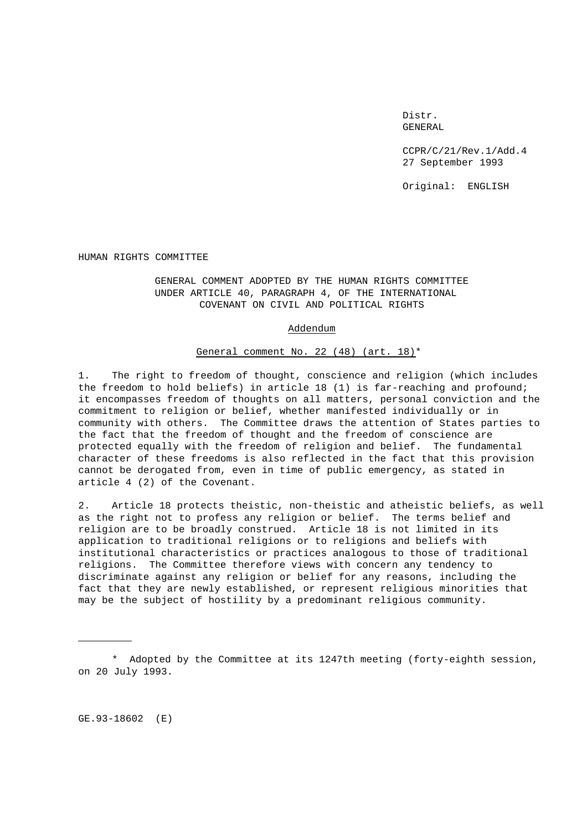Distr. GENERAL

CCPR/C/21/Rev.1/Add.4 27 September 1993

Original: ENGLISH

HUMAN RIGHTS COMMITTEE

## GENERAL COMMENT ADOPTED BY THE HUMAN RIGHTS COMMITTEE UNDER ARTICLE 40, PARAGRAPH 4, OF THE INTERNATIONAL COVENANT ON CIVIL AND POLITICAL RIGHTS

Addendum

## General comment No. 22 (48) (art. 18)\*

1. The right to freedom of thought, conscience and religion (which includes the freedom to hold beliefs) in article 18 (1) is far-reaching and profound; it encompasses freedom of thoughts on all matters, personal conviction and the commitment to religion or belief, whether manifested individually or in community with others. The Committee draws the attention of States parties to the fact that the freedom of thought and the freedom of conscience are protected equally with the freedom of religion and belief. The fundamental character of these freedoms is also reflected in the fact that this provision cannot be derogated from, even in time of public emergency, as stated in article 4 (2) of the Covenant.

2. Article 18 protects theistic, non-theistic and atheistic beliefs, as well as the right not to profess any religion or belief. The terms belief and religion are to be broadly construed. Article 18 is not limited in its application to traditional religions or to religions and beliefs with institutional characteristics or practices analogous to those of traditional religions. The Committee therefore views with concern any tendency to discriminate against any religion or belief for any reasons, including the fact that they are newly established, or represent religious minorities that may be the subject of hostility by a predominant religious community.

GE.93-18602 (E)

<sup>\*</sup> Adopted by the Committee at its 1247th meeting (forty-eighth session, on 20 July 1993.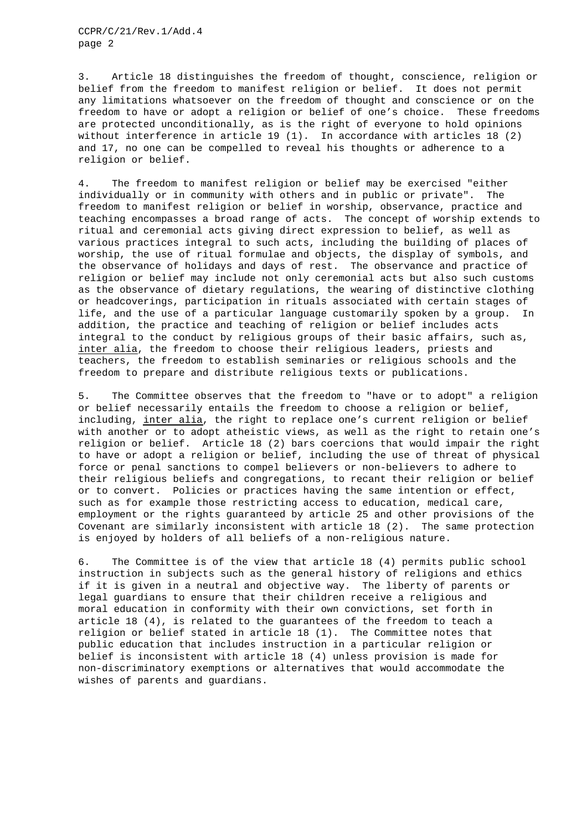3. Article 18 distinguishes the freedom of thought, conscience, religion or belief from the freedom to manifest religion or belief. It does not permit any limitations whatsoever on the freedom of thought and conscience or on the freedom to have or adopt a religion or belief of one's choice. These freedoms are protected unconditionally, as is the right of everyone to hold opinions without interference in article 19 (1). In accordance with articles 18 (2) and 17, no one can be compelled to reveal his thoughts or adherence to a religion or belief.

4. The freedom to manifest religion or belief may be exercised "either individually or in community with others and in public or private". The freedom to manifest religion or belief in worship, observance, practice and teaching encompasses a broad range of acts. The concept of worship extends to ritual and ceremonial acts giving direct expression to belief, as well as various practices integral to such acts, including the building of places of worship, the use of ritual formulae and objects, the display of symbols, and the observance of holidays and days of rest. The observance and practice of religion or belief may include not only ceremonial acts but also such customs as the observance of dietary regulations, the wearing of distinctive clothing or headcoverings, participation in rituals associated with certain stages of life, and the use of a particular language customarily spoken by a group. In addition, the practice and teaching of religion or belief includes acts integral to the conduct by religious groups of their basic affairs, such as, inter alia, the freedom to choose their religious leaders, priests and teachers, the freedom to establish seminaries or religious schools and the freedom to prepare and distribute religious texts or publications.

5. The Committee observes that the freedom to "have or to adopt" a religion or belief necessarily entails the freedom to choose a religion or belief, including, inter alia, the right to replace one's current religion or belief with another or to adopt atheistic views, as well as the right to retain one's religion or belief. Article 18 (2) bars coercions that would impair the right to have or adopt a religion or belief, including the use of threat of physical force or penal sanctions to compel believers or non-believers to adhere to their religious beliefs and congregations, to recant their religion or belief or to convert. Policies or practices having the same intention or effect, such as for example those restricting access to education, medical care, employment or the rights guaranteed by article 25 and other provisions of the Covenant are similarly inconsistent with article 18 (2). The same protection is enjoyed by holders of all beliefs of a non-religious nature.

6. The Committee is of the view that article 18 (4) permits public school instruction in subjects such as the general history of religions and ethics if it is given in a neutral and objective way. The liberty of parents or legal guardians to ensure that their children receive a religious and moral education in conformity with their own convictions, set forth in article 18 (4), is related to the guarantees of the freedom to teach a religion or belief stated in article 18 (1). The Committee notes that public education that includes instruction in a particular religion or belief is inconsistent with article 18 (4) unless provision is made for non-discriminatory exemptions or alternatives that would accommodate the wishes of parents and guardians.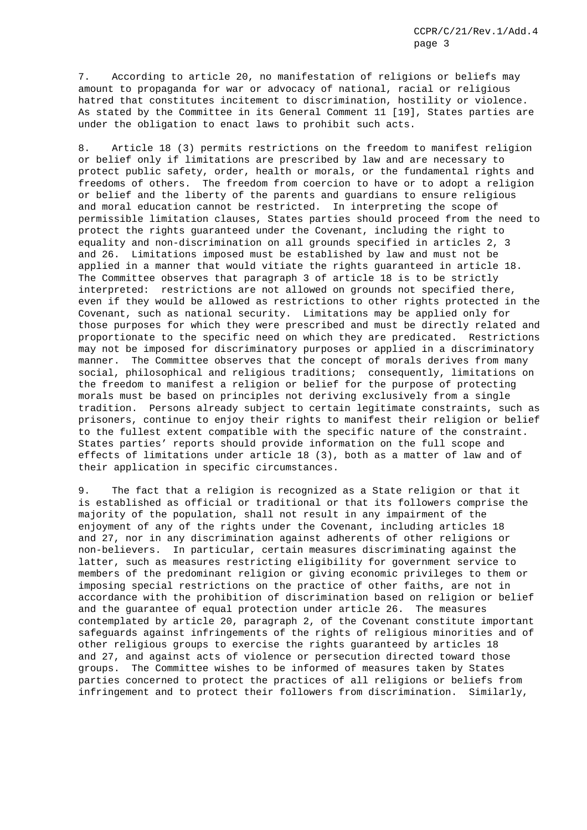7. According to article 20, no manifestation of religions or beliefs may amount to propaganda for war or advocacy of national, racial or religious hatred that constitutes incitement to discrimination, hostility or violence. As stated by the Committee in its General Comment 11 [19], States parties are under the obligation to enact laws to prohibit such acts.

8. Article 18 (3) permits restrictions on the freedom to manifest religion or belief only if limitations are prescribed by law and are necessary to protect public safety, order, health or morals, or the fundamental rights and freedoms of others. The freedom from coercion to have or to adopt a religion or belief and the liberty of the parents and guardians to ensure religious and moral education cannot be restricted. In interpreting the scope of permissible limitation clauses, States parties should proceed from the need to protect the rights guaranteed under the Covenant, including the right to equality and non-discrimination on all grounds specified in articles 2, 3 and 26. Limitations imposed must be established by law and must not be applied in a manner that would vitiate the rights guaranteed in article 18. The Committee observes that paragraph 3 of article 18 is to be strictly interpreted: restrictions are not allowed on grounds not specified there, even if they would be allowed as restrictions to other rights protected in the Covenant, such as national security. Limitations may be applied only for those purposes for which they were prescribed and must be directly related and proportionate to the specific need on which they are predicated. Restrictions may not be imposed for discriminatory purposes or applied in a discriminatory manner. The Committee observes that the concept of morals derives from many social, philosophical and religious traditions; consequently, limitations on the freedom to manifest a religion or belief for the purpose of protecting morals must be based on principles not deriving exclusively from a single tradition. Persons already subject to certain legitimate constraints, such as prisoners, continue to enjoy their rights to manifest their religion or belief to the fullest extent compatible with the specific nature of the constraint. States parties' reports should provide information on the full scope and effects of limitations under article 18 (3), both as a matter of law and of their application in specific circumstances.

9. The fact that a religion is recognized as a State religion or that it is established as official or traditional or that its followers comprise the majority of the population, shall not result in any impairment of the enjoyment of any of the rights under the Covenant, including articles 18 and 27, nor in any discrimination against adherents of other religions or non-believers. In particular, certain measures discriminating against the latter, such as measures restricting eligibility for government service to members of the predominant religion or giving economic privileges to them or imposing special restrictions on the practice of other faiths, are not in accordance with the prohibition of discrimination based on religion or belief and the guarantee of equal protection under article 26. The measures contemplated by article 20, paragraph 2, of the Covenant constitute important safeguards against infringements of the rights of religious minorities and of other religious groups to exercise the rights guaranteed by articles 18 and 27, and against acts of violence or persecution directed toward those groups. The Committee wishes to be informed of measures taken by States parties concerned to protect the practices of all religions or beliefs from infringement and to protect their followers from discrimination. Similarly,